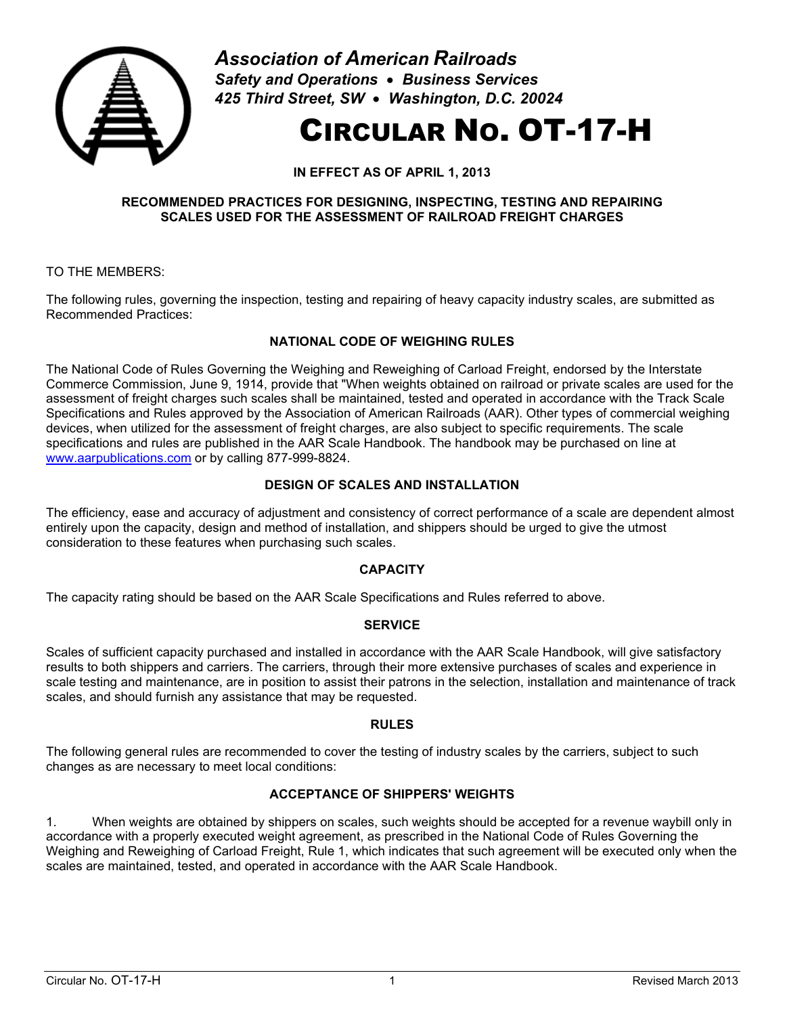

*Association of American Railroads Safety and Operations* • *Business Services 425 Third Street, SW* • *Washington, D.C. 20024*

# CIRCULAR NO. OT-17-H

**IN EFFECT AS OF APRIL 1, 2013**

#### **RECOMMENDED PRACTICES FOR DESIGNING, INSPECTING, TESTING AND REPAIRING SCALES USED FOR THE ASSESSMENT OF RAILROAD FREIGHT CHARGES**

TO THE MEMBERS:

The following rules, governing the inspection, testing and repairing of heavy capacity industry scales, are submitted as Recommended Practices:

## **NATIONAL CODE OF WEIGHING RULES**

The National Code of Rules Governing the Weighing and Reweighing of Carload Freight, endorsed by the Interstate Commerce Commission, June 9, 1914, provide that "When weights obtained on railroad or private scales are used for the assessment of freight charges such scales shall be maintained, tested and operated in accordance with the Track Scale Specifications and Rules approved by the Association of American Railroads (AAR). Other types of commercial weighing devices, when utilized for the assessment of freight charges, are also subject to specific requirements. The scale specifications and rules are published in the AAR Scale Handbook. The handbook may be purchased on line at [www.aarpublications.com](http://www.aarpublications.com/) or by calling 877-999-8824.

## **DESIGN OF SCALES AND INSTALLATION**

The efficiency, ease and accuracy of adjustment and consistency of correct performance of a scale are dependent almost entirely upon the capacity, design and method of installation, and shippers should be urged to give the utmost consideration to these features when purchasing such scales.

## **CAPACITY**

The capacity rating should be based on the AAR Scale Specifications and Rules referred to above.

## **SERVICE**

Scales of sufficient capacity purchased and installed in accordance with the AAR Scale Handbook, will give satisfactory results to both shippers and carriers. The carriers, through their more extensive purchases of scales and experience in scale testing and maintenance, are in position to assist their patrons in the selection, installation and maintenance of track scales, and should furnish any assistance that may be requested.

## **RULES**

The following general rules are recommended to cover the testing of industry scales by the carriers, subject to such changes as are necessary to meet local conditions:

## **ACCEPTANCE OF SHIPPERS' WEIGHTS**

1. When weights are obtained by shippers on scales, such weights should be accepted for a revenue waybill only in accordance with a properly executed weight agreement, as prescribed in the National Code of Rules Governing the Weighing and Reweighing of Carload Freight, Rule 1, which indicates that such agreement will be executed only when the scales are maintained, tested, and operated in accordance with the AAR Scale Handbook.